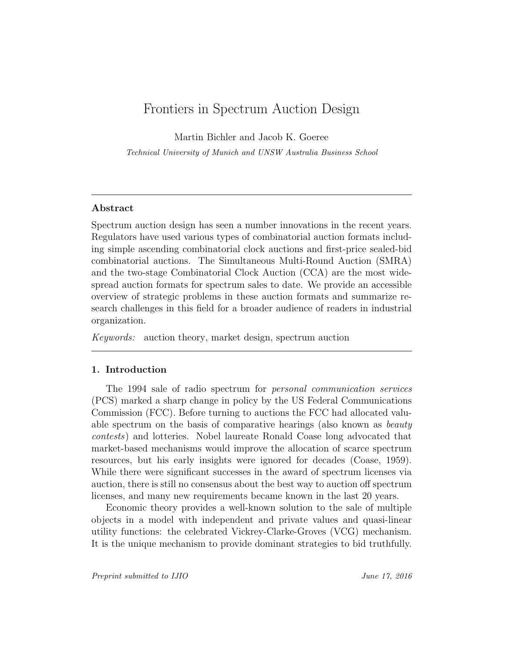# Frontiers in Spectrum Auction Design

Martin Bichler and Jacob K. Goeree

Technical University of Munich and UNSW Australia Business School

# Abstract

Spectrum auction design has seen a number innovations in the recent years. Regulators have used various types of combinatorial auction formats including simple ascending combinatorial clock auctions and first-price sealed-bid combinatorial auctions. The Simultaneous Multi-Round Auction (SMRA) and the two-stage Combinatorial Clock Auction (CCA) are the most widespread auction formats for spectrum sales to date. We provide an accessible overview of strategic problems in these auction formats and summarize research challenges in this field for a broader audience of readers in industrial organization.

Keywords: auction theory, market design, spectrum auction

# 1. Introduction

The 1994 sale of radio spectrum for personal communication services (PCS) marked a sharp change in policy by the US Federal Communications Commission (FCC). Before turning to auctions the FCC had allocated valuable spectrum on the basis of comparative hearings (also known as beauty contests) and lotteries. Nobel laureate Ronald Coase long advocated that market-based mechanisms would improve the allocation of scarce spectrum resources, but his early insights were ignored for decades (Coase, 1959). While there were significant successes in the award of spectrum licenses via auction, there is still no consensus about the best way to auction off spectrum licenses, and many new requirements became known in the last 20 years.

Economic theory provides a well-known solution to the sale of multiple objects in a model with independent and private values and quasi-linear utility functions: the celebrated Vickrey-Clarke-Groves (VCG) mechanism. It is the unique mechanism to provide dominant strategies to bid truthfully.

Preprint submitted to IJIO June 17, 2016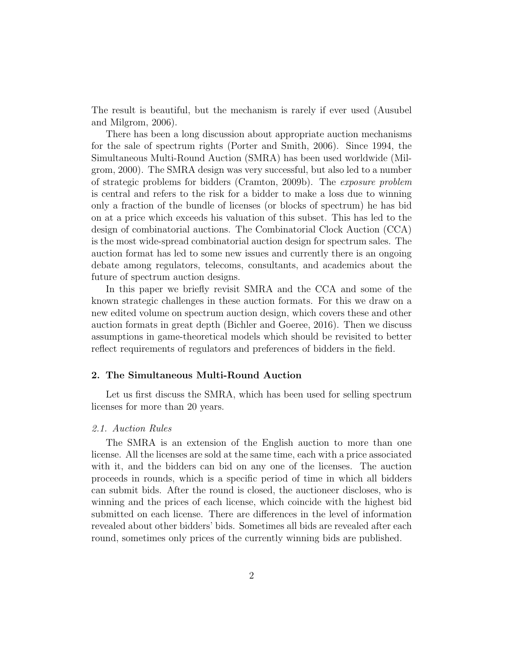The result is beautiful, but the mechanism is rarely if ever used (Ausubel and Milgrom, 2006).

There has been a long discussion about appropriate auction mechanisms for the sale of spectrum rights (Porter and Smith, 2006). Since 1994, the Simultaneous Multi-Round Auction (SMRA) has been used worldwide (Milgrom, 2000). The SMRA design was very successful, but also led to a number of strategic problems for bidders (Cramton, 2009b). The exposure problem is central and refers to the risk for a bidder to make a loss due to winning only a fraction of the bundle of licenses (or blocks of spectrum) he has bid on at a price which exceeds his valuation of this subset. This has led to the design of combinatorial auctions. The Combinatorial Clock Auction (CCA) is the most wide-spread combinatorial auction design for spectrum sales. The auction format has led to some new issues and currently there is an ongoing debate among regulators, telecoms, consultants, and academics about the future of spectrum auction designs.

In this paper we briefly revisit SMRA and the CCA and some of the known strategic challenges in these auction formats. For this we draw on a new edited volume on spectrum auction design, which covers these and other auction formats in great depth (Bichler and Goeree, 2016). Then we discuss assumptions in game-theoretical models which should be revisited to better reflect requirements of regulators and preferences of bidders in the field.

#### 2. The Simultaneous Multi-Round Auction

Let us first discuss the SMRA, which has been used for selling spectrum licenses for more than 20 years.

#### 2.1. Auction Rules

The SMRA is an extension of the English auction to more than one license. All the licenses are sold at the same time, each with a price associated with it, and the bidders can bid on any one of the licenses. The auction proceeds in rounds, which is a specific period of time in which all bidders can submit bids. After the round is closed, the auctioneer discloses, who is winning and the prices of each license, which coincide with the highest bid submitted on each license. There are differences in the level of information revealed about other bidders' bids. Sometimes all bids are revealed after each round, sometimes only prices of the currently winning bids are published.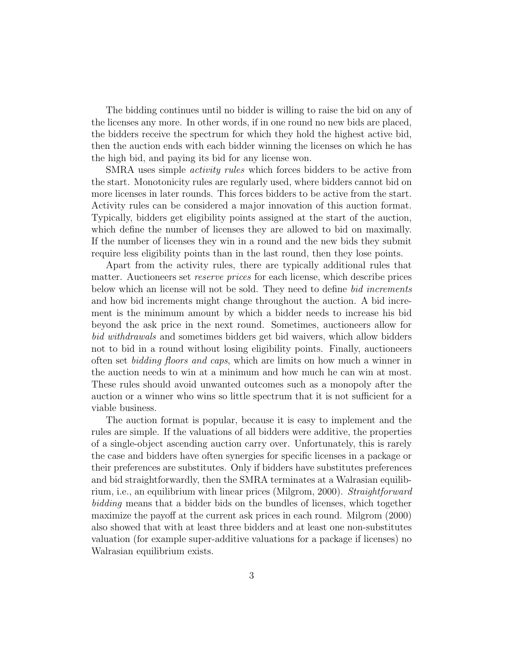The bidding continues until no bidder is willing to raise the bid on any of the licenses any more. In other words, if in one round no new bids are placed, the bidders receive the spectrum for which they hold the highest active bid, then the auction ends with each bidder winning the licenses on which he has the high bid, and paying its bid for any license won.

SMRA uses simple *activity rules* which forces bidders to be active from the start. Monotonicity rules are regularly used, where bidders cannot bid on more licenses in later rounds. This forces bidders to be active from the start. Activity rules can be considered a major innovation of this auction format. Typically, bidders get eligibility points assigned at the start of the auction, which define the number of licenses they are allowed to bid on maximally. If the number of licenses they win in a round and the new bids they submit require less eligibility points than in the last round, then they lose points.

Apart from the activity rules, there are typically additional rules that matter. Auctioneers set *reserve prices* for each license, which describe prices below which an license will not be sold. They need to define *bid increments* and how bid increments might change throughout the auction. A bid increment is the minimum amount by which a bidder needs to increase his bid beyond the ask price in the next round. Sometimes, auctioneers allow for bid withdrawals and sometimes bidders get bid waivers, which allow bidders not to bid in a round without losing eligibility points. Finally, auctioneers often set bidding floors and caps, which are limits on how much a winner in the auction needs to win at a minimum and how much he can win at most. These rules should avoid unwanted outcomes such as a monopoly after the auction or a winner who wins so little spectrum that it is not sufficient for a viable business.

The auction format is popular, because it is easy to implement and the rules are simple. If the valuations of all bidders were additive, the properties of a single-object ascending auction carry over. Unfortunately, this is rarely the case and bidders have often synergies for specific licenses in a package or their preferences are substitutes. Only if bidders have substitutes preferences and bid straightforwardly, then the SMRA terminates at a Walrasian equilibrium, i.e., an equilibrium with linear prices (Milgrom, 2000). Straightforward bidding means that a bidder bids on the bundles of licenses, which together maximize the payoff at the current ask prices in each round. Milgrom (2000) also showed that with at least three bidders and at least one non-substitutes valuation (for example super-additive valuations for a package if licenses) no Walrasian equilibrium exists.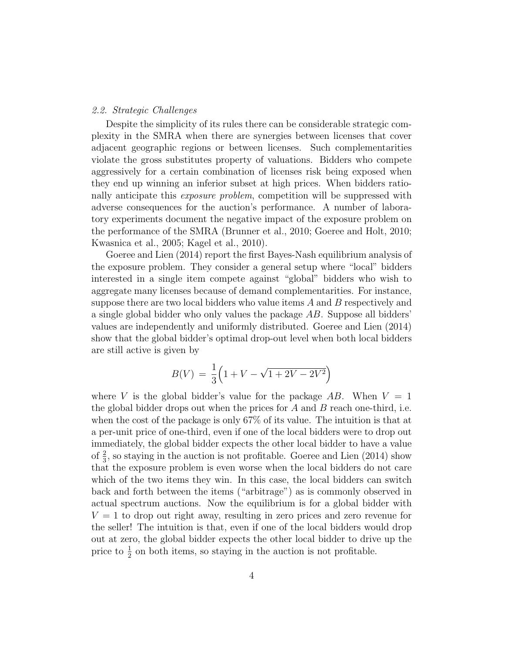#### 2.2. Strategic Challenges

Despite the simplicity of its rules there can be considerable strategic complexity in the SMRA when there are synergies between licenses that cover adjacent geographic regions or between licenses. Such complementarities violate the gross substitutes property of valuations. Bidders who compete aggressively for a certain combination of licenses risk being exposed when they end up winning an inferior subset at high prices. When bidders rationally anticipate this *exposure problem*, competition will be suppressed with adverse consequences for the auction's performance. A number of laboratory experiments document the negative impact of the exposure problem on the performance of the SMRA (Brunner et al., 2010; Goeree and Holt, 2010; Kwasnica et al., 2005; Kagel et al., 2010).

Goeree and Lien (2014) report the first Bayes-Nash equilibrium analysis of the exposure problem. They consider a general setup where "local" bidders interested in a single item compete against "global" bidders who wish to aggregate many licenses because of demand complementarities. For instance, suppose there are two local bidders who value items  $A$  and  $B$  respectively and a single global bidder who only values the package AB. Suppose all bidders' values are independently and uniformly distributed. Goeree and Lien (2014) show that the global bidder's optimal drop-out level when both local bidders are still active is given by

$$
B(V) = \frac{1}{3} (1 + V - \sqrt{1 + 2V - 2V^2})
$$

where V is the global bidder's value for the package AB. When  $V = 1$ the global bidder drops out when the prices for  $A$  and  $B$  reach one-third, i.e. when the cost of the package is only 67% of its value. The intuition is that at a per-unit price of one-third, even if one of the local bidders were to drop out immediately, the global bidder expects the other local bidder to have a value of  $\frac{2}{3}$ , so staying in the auction is not profitable. Goeree and Lien (2014) show that the exposure problem is even worse when the local bidders do not care which of the two items they win. In this case, the local bidders can switch back and forth between the items ("arbitrage") as is commonly observed in actual spectrum auctions. Now the equilibrium is for a global bidder with  $V = 1$  to drop out right away, resulting in zero prices and zero revenue for the seller! The intuition is that, even if one of the local bidders would drop out at zero, the global bidder expects the other local bidder to drive up the price to  $\frac{1}{2}$  on both items, so staying in the auction is not profitable.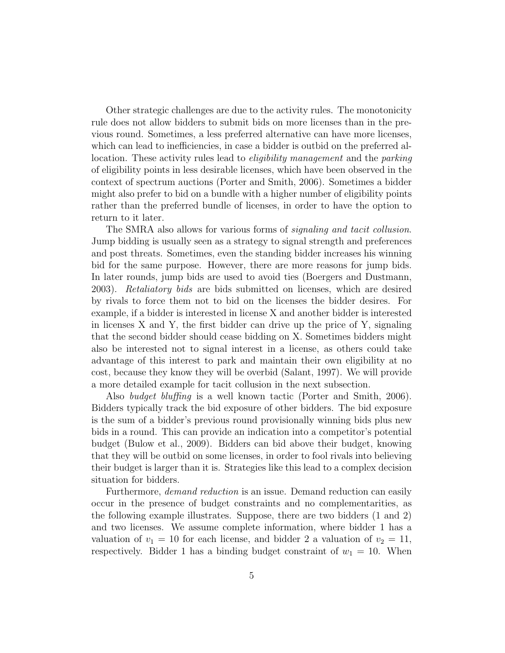Other strategic challenges are due to the activity rules. The monotonicity rule does not allow bidders to submit bids on more licenses than in the previous round. Sometimes, a less preferred alternative can have more licenses, which can lead to inefficiencies, in case a bidder is outbid on the preferred allocation. These activity rules lead to *eligibility management* and the *parking* of eligibility points in less desirable licenses, which have been observed in the context of spectrum auctions (Porter and Smith, 2006). Sometimes a bidder might also prefer to bid on a bundle with a higher number of eligibility points rather than the preferred bundle of licenses, in order to have the option to return to it later.

The SMRA also allows for various forms of signaling and tacit collusion. Jump bidding is usually seen as a strategy to signal strength and preferences and post threats. Sometimes, even the standing bidder increases his winning bid for the same purpose. However, there are more reasons for jump bids. In later rounds, jump bids are used to avoid ties (Boergers and Dustmann, 2003). Retaliatory bids are bids submitted on licenses, which are desired by rivals to force them not to bid on the licenses the bidder desires. For example, if a bidder is interested in license X and another bidder is interested in licenses  $X$  and  $Y$ , the first bidder can drive up the price of  $Y$ , signaling that the second bidder should cease bidding on X. Sometimes bidders might also be interested not to signal interest in a license, as others could take advantage of this interest to park and maintain their own eligibility at no cost, because they know they will be overbid (Salant, 1997). We will provide a more detailed example for tacit collusion in the next subsection.

Also budget bluffing is a well known tactic (Porter and Smith, 2006). Bidders typically track the bid exposure of other bidders. The bid exposure is the sum of a bidder's previous round provisionally winning bids plus new bids in a round. This can provide an indication into a competitor's potential budget (Bulow et al., 2009). Bidders can bid above their budget, knowing that they will be outbid on some licenses, in order to fool rivals into believing their budget is larger than it is. Strategies like this lead to a complex decision situation for bidders.

Furthermore, *demand reduction* is an issue. Demand reduction can easily occur in the presence of budget constraints and no complementarities, as the following example illustrates. Suppose, there are two bidders (1 and 2) and two licenses. We assume complete information, where bidder 1 has a valuation of  $v_1 = 10$  for each license, and bidder 2 a valuation of  $v_2 = 11$ , respectively. Bidder 1 has a binding budget constraint of  $w_1 = 10$ . When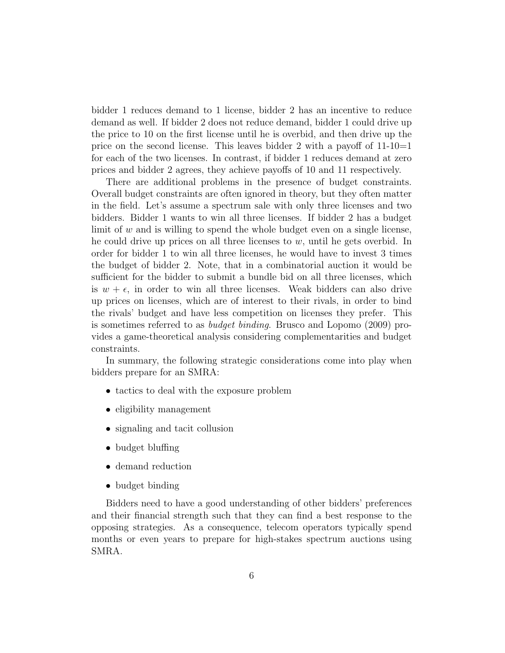bidder 1 reduces demand to 1 license, bidder 2 has an incentive to reduce demand as well. If bidder 2 does not reduce demand, bidder 1 could drive up the price to 10 on the first license until he is overbid, and then drive up the price on the second license. This leaves bidder 2 with a payoff of  $11\n-10\n-1$ for each of the two licenses. In contrast, if bidder 1 reduces demand at zero prices and bidder 2 agrees, they achieve payoffs of 10 and 11 respectively.

There are additional problems in the presence of budget constraints. Overall budget constraints are often ignored in theory, but they often matter in the field. Let's assume a spectrum sale with only three licenses and two bidders. Bidder 1 wants to win all three licenses. If bidder 2 has a budget limit of  $w$  and is willing to spend the whole budget even on a single license, he could drive up prices on all three licenses to  $w$ , until he gets overbid. In order for bidder 1 to win all three licenses, he would have to invest 3 times the budget of bidder 2. Note, that in a combinatorial auction it would be sufficient for the bidder to submit a bundle bid on all three licenses, which is  $w + \epsilon$ , in order to win all three licenses. Weak bidders can also drive up prices on licenses, which are of interest to their rivals, in order to bind the rivals' budget and have less competition on licenses they prefer. This is sometimes referred to as budget binding. Brusco and Lopomo (2009) provides a game-theoretical analysis considering complementarities and budget constraints.

In summary, the following strategic considerations come into play when bidders prepare for an SMRA:

- tactics to deal with the exposure problem
- eligibility management
- signaling and tacit collusion
- budget bluffing
- demand reduction
- budget binding

Bidders need to have a good understanding of other bidders' preferences and their financial strength such that they can find a best response to the opposing strategies. As a consequence, telecom operators typically spend months or even years to prepare for high-stakes spectrum auctions using SMRA.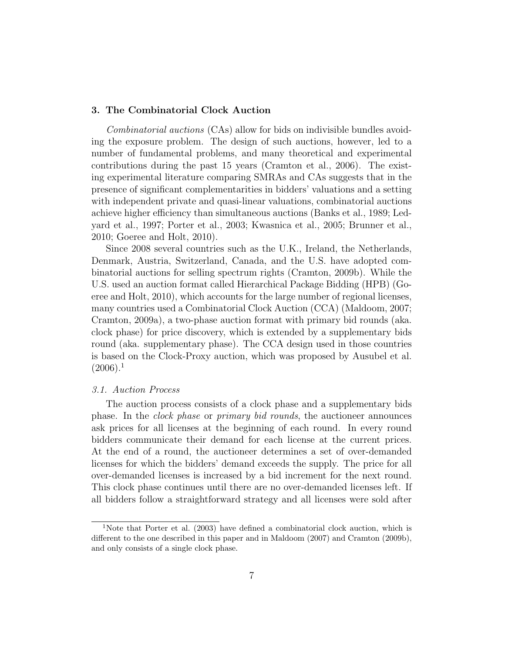#### 3. The Combinatorial Clock Auction

Combinatorial auctions (CAs) allow for bids on indivisible bundles avoiding the exposure problem. The design of such auctions, however, led to a number of fundamental problems, and many theoretical and experimental contributions during the past 15 years (Cramton et al., 2006). The existing experimental literature comparing SMRAs and CAs suggests that in the presence of significant complementarities in bidders' valuations and a setting with independent private and quasi-linear valuations, combinatorial auctions achieve higher efficiency than simultaneous auctions (Banks et al., 1989; Ledyard et al., 1997; Porter et al., 2003; Kwasnica et al., 2005; Brunner et al., 2010; Goeree and Holt, 2010).

Since 2008 several countries such as the U.K., Ireland, the Netherlands, Denmark, Austria, Switzerland, Canada, and the U.S. have adopted combinatorial auctions for selling spectrum rights (Cramton, 2009b). While the U.S. used an auction format called Hierarchical Package Bidding (HPB) (Goeree and Holt, 2010), which accounts for the large number of regional licenses, many countries used a Combinatorial Clock Auction (CCA) (Maldoom, 2007; Cramton, 2009a), a two-phase auction format with primary bid rounds (aka. clock phase) for price discovery, which is extended by a supplementary bids round (aka. supplementary phase). The CCA design used in those countries is based on the Clock-Proxy auction, which was proposed by Ausubel et al.  $(2006).<sup>1</sup>$ 

# 3.1. Auction Process

The auction process consists of a clock phase and a supplementary bids phase. In the clock phase or primary bid rounds, the auctioneer announces ask prices for all licenses at the beginning of each round. In every round bidders communicate their demand for each license at the current prices. At the end of a round, the auctioneer determines a set of over-demanded licenses for which the bidders' demand exceeds the supply. The price for all over-demanded licenses is increased by a bid increment for the next round. This clock phase continues until there are no over-demanded licenses left. If all bidders follow a straightforward strategy and all licenses were sold after

<sup>&</sup>lt;sup>1</sup>Note that Porter et al.  $(2003)$  have defined a combinatorial clock auction, which is different to the one described in this paper and in Maldoom (2007) and Cramton (2009b), and only consists of a single clock phase.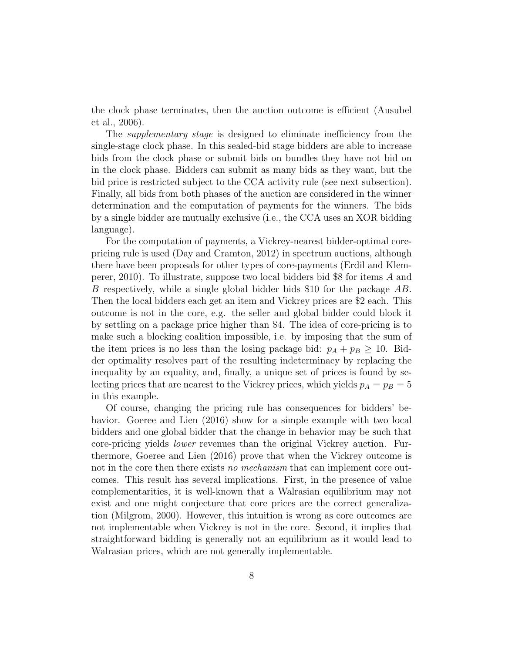the clock phase terminates, then the auction outcome is efficient (Ausubel et al., 2006).

The *supplementary stage* is designed to eliminate inefficiency from the single-stage clock phase. In this sealed-bid stage bidders are able to increase bids from the clock phase or submit bids on bundles they have not bid on in the clock phase. Bidders can submit as many bids as they want, but the bid price is restricted subject to the CCA activity rule (see next subsection). Finally, all bids from both phases of the auction are considered in the winner determination and the computation of payments for the winners. The bids by a single bidder are mutually exclusive (i.e., the CCA uses an XOR bidding language).

For the computation of payments, a Vickrey-nearest bidder-optimal corepricing rule is used (Day and Cramton, 2012) in spectrum auctions, although there have been proposals for other types of core-payments (Erdil and Klemperer, 2010). To illustrate, suppose two local bidders bid \$8 for items A and B respectively, while a single global bidder bids \$10 for the package AB. Then the local bidders each get an item and Vickrey prices are \$2 each. This outcome is not in the core, e.g. the seller and global bidder could block it by settling on a package price higher than \$4. The idea of core-pricing is to make such a blocking coalition impossible, i.e. by imposing that the sum of the item prices is no less than the losing package bid:  $p_A + p_B \ge 10$ . Bidder optimality resolves part of the resulting indeterminacy by replacing the inequality by an equality, and, finally, a unique set of prices is found by selecting prices that are nearest to the Vickrey prices, which yields  $p_A = p_B = 5$ in this example.

Of course, changing the pricing rule has consequences for bidders' behavior. Goeree and Lien (2016) show for a simple example with two local bidders and one global bidder that the change in behavior may be such that core-pricing yields lower revenues than the original Vickrey auction. Furthermore, Goeree and Lien (2016) prove that when the Vickrey outcome is not in the core then there exists no mechanism that can implement core outcomes. This result has several implications. First, in the presence of value complementarities, it is well-known that a Walrasian equilibrium may not exist and one might conjecture that core prices are the correct generalization (Milgrom, 2000). However, this intuition is wrong as core outcomes are not implementable when Vickrey is not in the core. Second, it implies that straightforward bidding is generally not an equilibrium as it would lead to Walrasian prices, which are not generally implementable.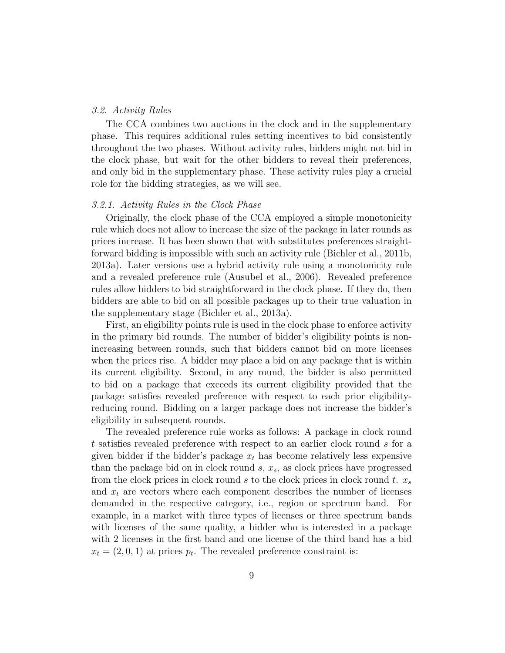#### 3.2. Activity Rules

The CCA combines two auctions in the clock and in the supplementary phase. This requires additional rules setting incentives to bid consistently throughout the two phases. Without activity rules, bidders might not bid in the clock phase, but wait for the other bidders to reveal their preferences, and only bid in the supplementary phase. These activity rules play a crucial role for the bidding strategies, as we will see.

#### 3.2.1. Activity Rules in the Clock Phase

Originally, the clock phase of the CCA employed a simple monotonicity rule which does not allow to increase the size of the package in later rounds as prices increase. It has been shown that with substitutes preferences straightforward bidding is impossible with such an activity rule (Bichler et al., 2011b, 2013a). Later versions use a hybrid activity rule using a monotonicity rule and a revealed preference rule (Ausubel et al., 2006). Revealed preference rules allow bidders to bid straightforward in the clock phase. If they do, then bidders are able to bid on all possible packages up to their true valuation in the supplementary stage (Bichler et al., 2013a).

First, an eligibility points rule is used in the clock phase to enforce activity in the primary bid rounds. The number of bidder's eligibility points is nonincreasing between rounds, such that bidders cannot bid on more licenses when the prices rise. A bidder may place a bid on any package that is within its current eligibility. Second, in any round, the bidder is also permitted to bid on a package that exceeds its current eligibility provided that the package satisfies revealed preference with respect to each prior eligibilityreducing round. Bidding on a larger package does not increase the bidder's eligibility in subsequent rounds.

The revealed preference rule works as follows: A package in clock round t satisfies revealed preference with respect to an earlier clock round s for a given bidder if the bidder's package  $x_t$  has become relatively less expensive than the package bid on in clock round  $s, x_s$ , as clock prices have progressed from the clock prices in clock round s to the clock prices in clock round t.  $x_s$ and  $x_t$  are vectors where each component describes the number of licenses demanded in the respective category, i.e., region or spectrum band. For example, in a market with three types of licenses or three spectrum bands with licenses of the same quality, a bidder who is interested in a package with 2 licenses in the first band and one license of the third band has a bid  $x_t = (2, 0, 1)$  at prices  $p_t$ . The revealed preference constraint is: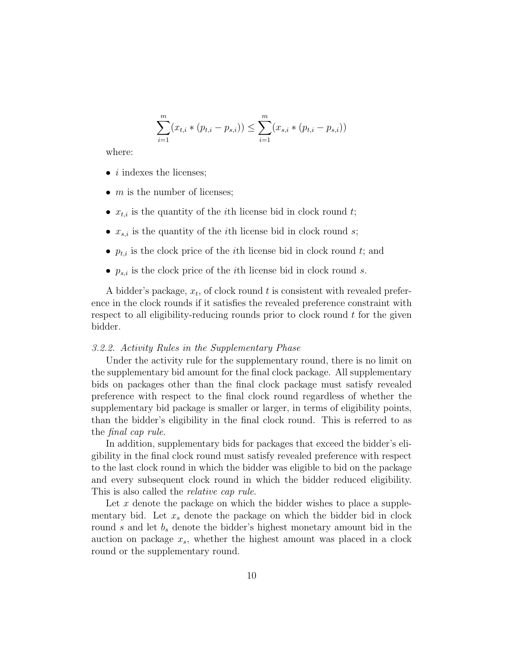$$
\sum_{i=1}^{m} (x_{t,i} * (p_{t,i} - p_{s,i})) \leq \sum_{i=1}^{m} (x_{s,i} * (p_{t,i} - p_{s,i}))
$$

where:

- $\bullet$  *i* indexes the licenses;
- $m$  is the number of licenses;
- $x_{t,i}$  is the quantity of the *i*<sup>th</sup> license bid in clock round *t*;
- $x_{s,i}$  is the quantity of the *i*th license bid in clock round *s*;
- $p_{t,i}$  is the clock price of the *i*<sup>th</sup> license bid in clock round  $t$ ; and
- $p_{s,i}$  is the clock price of the *i*th license bid in clock round *s*.

A bidder's package,  $x_t$ , of clock round t is consistent with revealed preference in the clock rounds if it satisfies the revealed preference constraint with respect to all eligibility-reducing rounds prior to clock round t for the given bidder.

#### 3.2.2. Activity Rules in the Supplementary Phase

Under the activity rule for the supplementary round, there is no limit on the supplementary bid amount for the final clock package. All supplementary bids on packages other than the final clock package must satisfy revealed preference with respect to the final clock round regardless of whether the supplementary bid package is smaller or larger, in terms of eligibility points, than the bidder's eligibility in the final clock round. This is referred to as the final cap rule.

In addition, supplementary bids for packages that exceed the bidder's eligibility in the final clock round must satisfy revealed preference with respect to the last clock round in which the bidder was eligible to bid on the package and every subsequent clock round in which the bidder reduced eligibility. This is also called the *relative cap rule*.

Let x denote the package on which the bidder wishes to place a supplementary bid. Let  $x_s$  denote the package on which the bidder bid in clock round s and let  $b_s$  denote the bidder's highest monetary amount bid in the auction on package  $x_s$ , whether the highest amount was placed in a clock round or the supplementary round.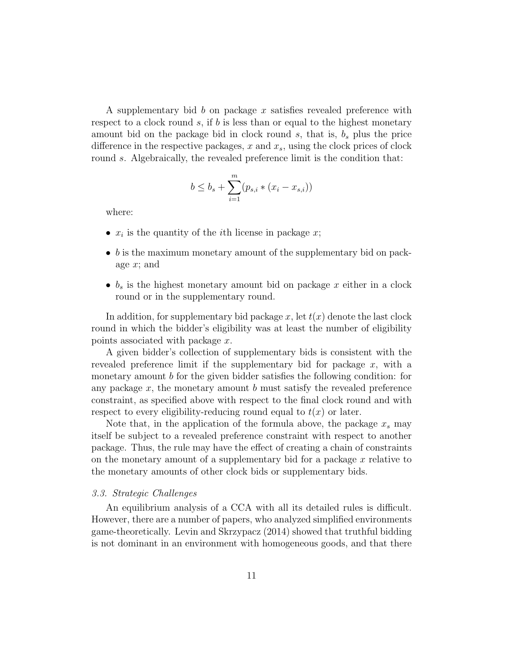A supplementary bid b on package x satisfies revealed preference with respect to a clock round  $s$ , if  $b$  is less than or equal to the highest monetary amount bid on the package bid in clock round  $s$ , that is,  $b_s$  plus the price difference in the respective packages, x and  $x_s$ , using the clock prices of clock round s. Algebraically, the revealed preference limit is the condition that:

$$
b \le b_s + \sum_{i=1}^m (p_{s,i} * (x_i - x_{s,i}))
$$

where:

- $x_i$  is the quantity of the *i*<sup>th</sup> license in package  $x$ ;
- $\bullet$  b is the maximum monetary amount of the supplementary bid on package x; and
- $b_s$  is the highest monetary amount bid on package x either in a clock round or in the supplementary round.

In addition, for supplementary bid package x, let  $t(x)$  denote the last clock round in which the bidder's eligibility was at least the number of eligibility points associated with package x.

A given bidder's collection of supplementary bids is consistent with the revealed preference limit if the supplementary bid for package  $x$ , with a monetary amount b for the given bidder satisfies the following condition: for any package  $x$ , the monetary amount  $b$  must satisfy the revealed preference constraint, as specified above with respect to the final clock round and with respect to every eligibility-reducing round equal to  $t(x)$  or later.

Note that, in the application of the formula above, the package  $x_s$  may itself be subject to a revealed preference constraint with respect to another package. Thus, the rule may have the effect of creating a chain of constraints on the monetary amount of a supplementary bid for a package  $x$  relative to the monetary amounts of other clock bids or supplementary bids.

#### 3.3. Strategic Challenges

An equilibrium analysis of a CCA with all its detailed rules is difficult. However, there are a number of papers, who analyzed simplified environments game-theoretically. Levin and Skrzypacz (2014) showed that truthful bidding is not dominant in an environment with homogeneous goods, and that there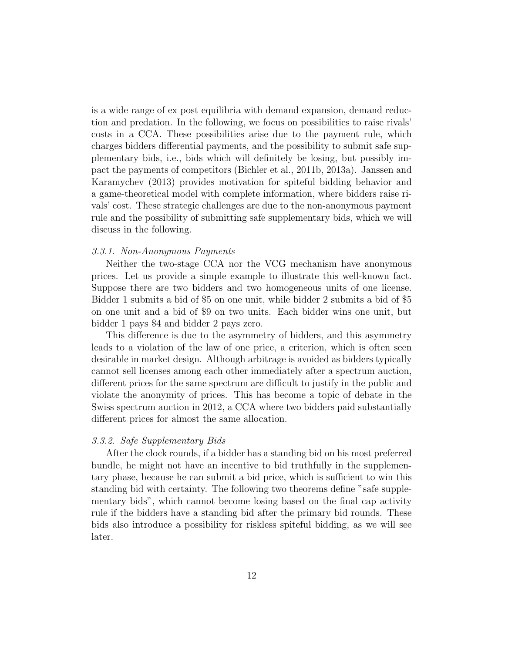is a wide range of ex post equilibria with demand expansion, demand reduction and predation. In the following, we focus on possibilities to raise rivals' costs in a CCA. These possibilities arise due to the payment rule, which charges bidders differential payments, and the possibility to submit safe supplementary bids, i.e., bids which will definitely be losing, but possibly impact the payments of competitors (Bichler et al., 2011b, 2013a). Janssen and Karamychev (2013) provides motivation for spiteful bidding behavior and a game-theoretical model with complete information, where bidders raise rivals' cost. These strategic challenges are due to the non-anonymous payment rule and the possibility of submitting safe supplementary bids, which we will discuss in the following.

#### 3.3.1. Non-Anonymous Payments

Neither the two-stage CCA nor the VCG mechanism have anonymous prices. Let us provide a simple example to illustrate this well-known fact. Suppose there are two bidders and two homogeneous units of one license. Bidder 1 submits a bid of \$5 on one unit, while bidder 2 submits a bid of \$5 on one unit and a bid of \$9 on two units. Each bidder wins one unit, but bidder 1 pays \$4 and bidder 2 pays zero.

This difference is due to the asymmetry of bidders, and this asymmetry leads to a violation of the law of one price, a criterion, which is often seen desirable in market design. Although arbitrage is avoided as bidders typically cannot sell licenses among each other immediately after a spectrum auction, different prices for the same spectrum are difficult to justify in the public and violate the anonymity of prices. This has become a topic of debate in the Swiss spectrum auction in 2012, a CCA where two bidders paid substantially different prices for almost the same allocation.

#### 3.3.2. Safe Supplementary Bids

After the clock rounds, if a bidder has a standing bid on his most preferred bundle, he might not have an incentive to bid truthfully in the supplementary phase, because he can submit a bid price, which is sufficient to win this standing bid with certainty. The following two theorems define "safe supplementary bids", which cannot become losing based on the final cap activity rule if the bidders have a standing bid after the primary bid rounds. These bids also introduce a possibility for riskless spiteful bidding, as we will see later.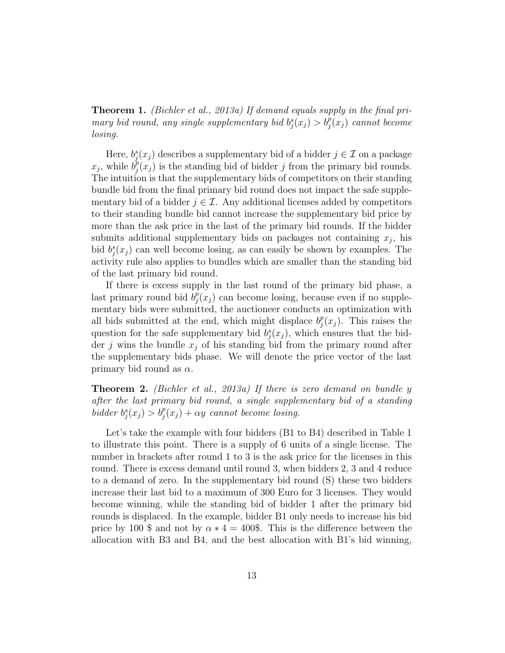**Theorem 1.** (Bichler et al., 2013a) If demand equals supply in the final primary bid round, any single supplementary bid  $b_j^s(x_j) > b_j^p(x_j)$  cannot become losing.

Here,  $b_j^s(x_j)$  describes a supplementary bid of a bidder  $j \in \mathcal{I}$  on a package  $x_j$ , while  $b_j^p$  $_j^p(x_j)$  is the standing bid of bidder j from the primary bid rounds. The intuition is that the supplementary bids of competitors on their standing bundle bid from the final primary bid round does not impact the safe supplementary bid of a bidder  $j \in \mathcal{I}$ . Any additional licenses added by competitors to their standing bundle bid cannot increase the supplementary bid price by more than the ask price in the last of the primary bid rounds. If the bidder submits additional supplementary bids on packages not containing  $x_j$ , his bid  $b_j^s(x_j)$  can well become losing, as can easily be shown by examples. The activity rule also applies to bundles which are smaller than the standing bid of the last primary bid round.

If there is excess supply in the last round of the primary bid phase, a last primary round bid  $b_i^p$  $j(x_j)$  can become losing, because even if no supplementary bids were submitted, the auctioneer conducts an optimization with all bids submitted at the end, which might displace  $b_i^p$  $j^p(x_j)$ . This raises the question for the safe supplementary bid  $b_j^s(x_j)$ , which ensures that the bidder j wins the bundle  $x_i$  of his standing bid from the primary round after the supplementary bids phase. We will denote the price vector of the last primary bid round as  $\alpha$ .

**Theorem 2.** (Bichler et al., 2013a) If there is zero demand on bundle y after the last primary bid round, a single supplementary bid of a standing bidder  $b_j^s(x_j) > b_j^p(x_j) + \alpha y$  cannot become losing.

Let's take the example with four bidders (B1 to B4) described in Table 1 to illustrate this point. There is a supply of 6 units of a single license. The number in brackets after round 1 to 3 is the ask price for the licenses in this round. There is excess demand until round 3, when bidders 2, 3 and 4 reduce to a demand of zero. In the supplementary bid round (S) these two bidders increase their last bid to a maximum of 300 Euro for 3 licenses. They would become winning, while the standing bid of bidder 1 after the primary bid rounds is displaced. In the example, bidder B1 only needs to increase his bid price by 100 \$ and not by  $\alpha * 4 = 400$ \$. This is the difference between the allocation with B3 and B4, and the best allocation with B1's bid winning,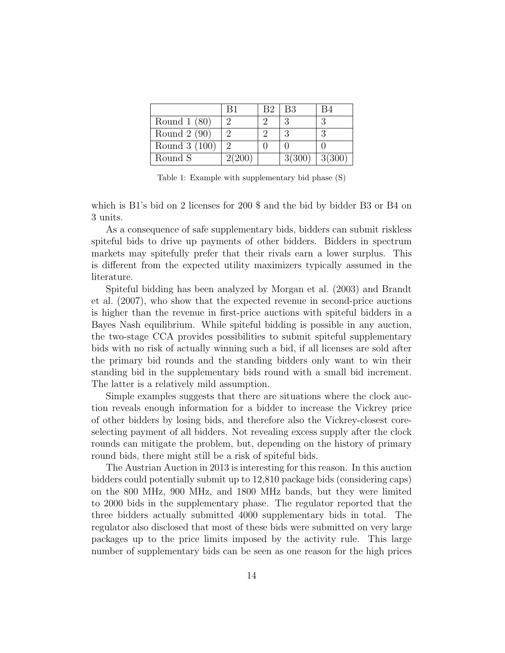|                 | <b>B</b> 1    | B <sub>2</sub> | B <sub>3</sub> | B4     |
|-----------------|---------------|----------------|----------------|--------|
| Round $1(80)$   |               |                |                |        |
| Round $2(90)$   |               |                |                |        |
| Round 3 $(100)$ | $\mathcal{D}$ |                |                |        |
| Round S         | 2(200)        |                | 3(300)         | 3(300) |

Table 1: Example with supplementary bid phase (S)

which is B1's bid on 2 licenses for 200 \$ and the bid by bidder B3 or B4 on 3 units.

As a consequence of safe supplementary bids, bidders can submit riskless spiteful bids to drive up payments of other bidders. Bidders in spectrum markets may spitefully prefer that their rivals earn a lower surplus. This is different from the expected utility maximizers typically assumed in the literature.

Spiteful bidding has been analyzed by Morgan et al. (2003) and Brandt et al. (2007), who show that the expected revenue in second-price auctions is higher than the revenue in first-price auctions with spiteful bidders in a Bayes Nash equilibrium. While spiteful bidding is possible in any auction, the two-stage CCA provides possibilities to submit spiteful supplementary bids with no risk of actually winning such a bid, if all licenses are sold after the primary bid rounds and the standing bidders only want to win their standing bid in the supplementary bids round with a small bid increment. The latter is a relatively mild assumption.

Simple examples suggests that there are situations where the clock auction reveals enough information for a bidder to increase the Vickrey price of other bidders by losing bids, and therefore also the Vickrey-closest coreselecting payment of all bidders. Not revealing excess supply after the clock rounds can mitigate the problem, but, depending on the history of primary round bids, there might still be a risk of spiteful bids.

The Austrian Auction in 2013 is interesting for this reason. In this auction bidders could potentially submit up to 12,810 package bids (considering caps) on the 800 MHz, 900 MHz, and 1800 MHz bands, but they were limited to 2000 bids in the supplementary phase. The regulator reported that the three bidders actually submitted 4000 supplementary bids in total. The regulator also disclosed that most of these bids were submitted on very large packages up to the price limits imposed by the activity rule. This large number of supplementary bids can be seen as one reason for the high prices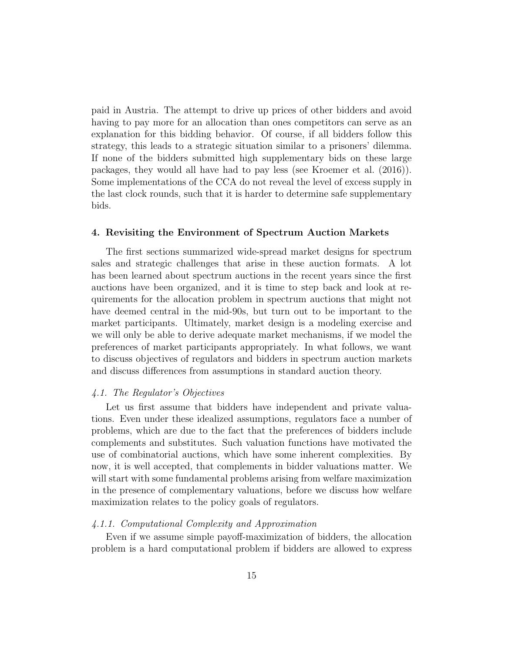paid in Austria. The attempt to drive up prices of other bidders and avoid having to pay more for an allocation than ones competitors can serve as an explanation for this bidding behavior. Of course, if all bidders follow this strategy, this leads to a strategic situation similar to a prisoners' dilemma. If none of the bidders submitted high supplementary bids on these large packages, they would all have had to pay less (see Kroemer et al. (2016)). Some implementations of the CCA do not reveal the level of excess supply in the last clock rounds, such that it is harder to determine safe supplementary bids.

#### 4. Revisiting the Environment of Spectrum Auction Markets

The first sections summarized wide-spread market designs for spectrum sales and strategic challenges that arise in these auction formats. A lot has been learned about spectrum auctions in the recent years since the first auctions have been organized, and it is time to step back and look at requirements for the allocation problem in spectrum auctions that might not have deemed central in the mid-90s, but turn out to be important to the market participants. Ultimately, market design is a modeling exercise and we will only be able to derive adequate market mechanisms, if we model the preferences of market participants appropriately. In what follows, we want to discuss objectives of regulators and bidders in spectrum auction markets and discuss differences from assumptions in standard auction theory.

# 4.1. The Regulator's Objectives

Let us first assume that bidders have independent and private valuations. Even under these idealized assumptions, regulators face a number of problems, which are due to the fact that the preferences of bidders include complements and substitutes. Such valuation functions have motivated the use of combinatorial auctions, which have some inherent complexities. By now, it is well accepted, that complements in bidder valuations matter. We will start with some fundamental problems arising from welfare maximization in the presence of complementary valuations, before we discuss how welfare maximization relates to the policy goals of regulators.

# 4.1.1. Computational Complexity and Approximation

Even if we assume simple payoff-maximization of bidders, the allocation problem is a hard computational problem if bidders are allowed to express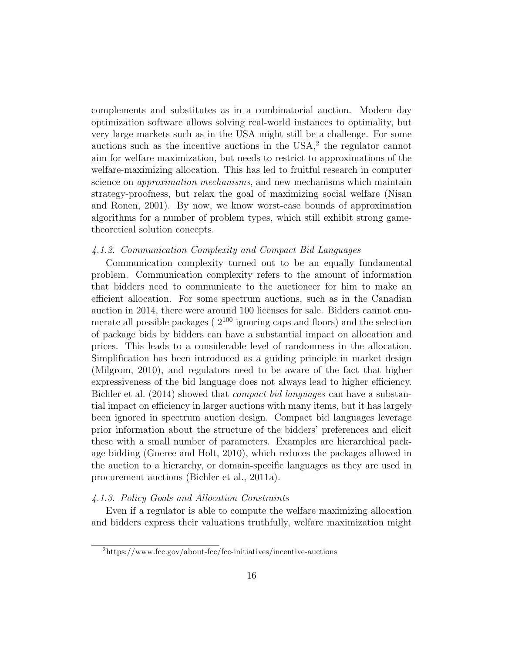complements and substitutes as in a combinatorial auction. Modern day optimization software allows solving real-world instances to optimality, but very large markets such as in the USA might still be a challenge. For some auctions such as the incentive auctions in the  $USA<sup>2</sup>$ , the regulator cannot aim for welfare maximization, but needs to restrict to approximations of the welfare-maximizing allocation. This has led to fruitful research in computer science on *approximation mechanisms*, and new mechanisms which maintain strategy-proofness, but relax the goal of maximizing social welfare (Nisan and Ronen, 2001). By now, we know worst-case bounds of approximation algorithms for a number of problem types, which still exhibit strong gametheoretical solution concepts.

#### 4.1.2. Communication Complexity and Compact Bid Languages

Communication complexity turned out to be an equally fundamental problem. Communication complexity refers to the amount of information that bidders need to communicate to the auctioneer for him to make an efficient allocation. For some spectrum auctions, such as in the Canadian auction in 2014, there were around 100 licenses for sale. Bidders cannot enumerate all possible packages  $(2^{100}$  ignoring caps and floors) and the selection of package bids by bidders can have a substantial impact on allocation and prices. This leads to a considerable level of randomness in the allocation. Simplification has been introduced as a guiding principle in market design (Milgrom, 2010), and regulators need to be aware of the fact that higher expressiveness of the bid language does not always lead to higher efficiency. Bichler et al. (2014) showed that compact bid languages can have a substantial impact on efficiency in larger auctions with many items, but it has largely been ignored in spectrum auction design. Compact bid languages leverage prior information about the structure of the bidders' preferences and elicit these with a small number of parameters. Examples are hierarchical package bidding (Goeree and Holt, 2010), which reduces the packages allowed in the auction to a hierarchy, or domain-specific languages as they are used in procurement auctions (Bichler et al., 2011a).

#### 4.1.3. Policy Goals and Allocation Constraints

Even if a regulator is able to compute the welfare maximizing allocation and bidders express their valuations truthfully, welfare maximization might

<sup>2</sup>https://www.fcc.gov/about-fcc/fcc-initiatives/incentive-auctions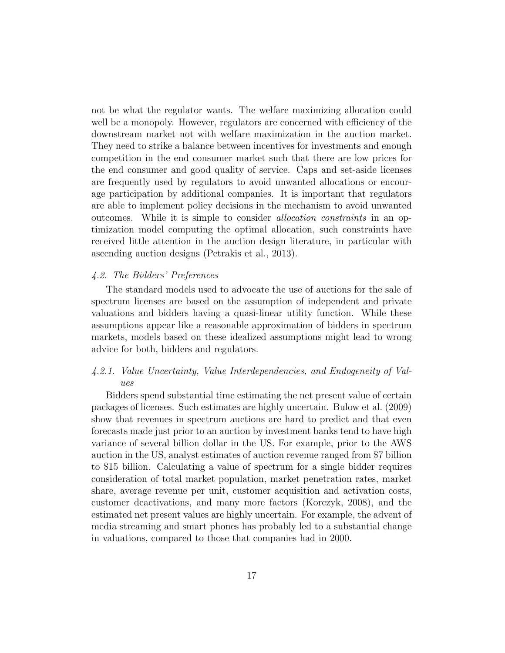not be what the regulator wants. The welfare maximizing allocation could well be a monopoly. However, regulators are concerned with efficiency of the downstream market not with welfare maximization in the auction market. They need to strike a balance between incentives for investments and enough competition in the end consumer market such that there are low prices for the end consumer and good quality of service. Caps and set-aside licenses are frequently used by regulators to avoid unwanted allocations or encourage participation by additional companies. It is important that regulators are able to implement policy decisions in the mechanism to avoid unwanted outcomes. While it is simple to consider allocation constraints in an optimization model computing the optimal allocation, such constraints have received little attention in the auction design literature, in particular with ascending auction designs (Petrakis et al., 2013).

# 4.2. The Bidders' Preferences

The standard models used to advocate the use of auctions for the sale of spectrum licenses are based on the assumption of independent and private valuations and bidders having a quasi-linear utility function. While these assumptions appear like a reasonable approximation of bidders in spectrum markets, models based on these idealized assumptions might lead to wrong advice for both, bidders and regulators.

# 4.2.1. Value Uncertainty, Value Interdependencies, and Endogeneity of Values

Bidders spend substantial time estimating the net present value of certain packages of licenses. Such estimates are highly uncertain. Bulow et al. (2009) show that revenues in spectrum auctions are hard to predict and that even forecasts made just prior to an auction by investment banks tend to have high variance of several billion dollar in the US. For example, prior to the AWS auction in the US, analyst estimates of auction revenue ranged from \$7 billion to \$15 billion. Calculating a value of spectrum for a single bidder requires consideration of total market population, market penetration rates, market share, average revenue per unit, customer acquisition and activation costs, customer deactivations, and many more factors (Korczyk, 2008), and the estimated net present values are highly uncertain. For example, the advent of media streaming and smart phones has probably led to a substantial change in valuations, compared to those that companies had in 2000.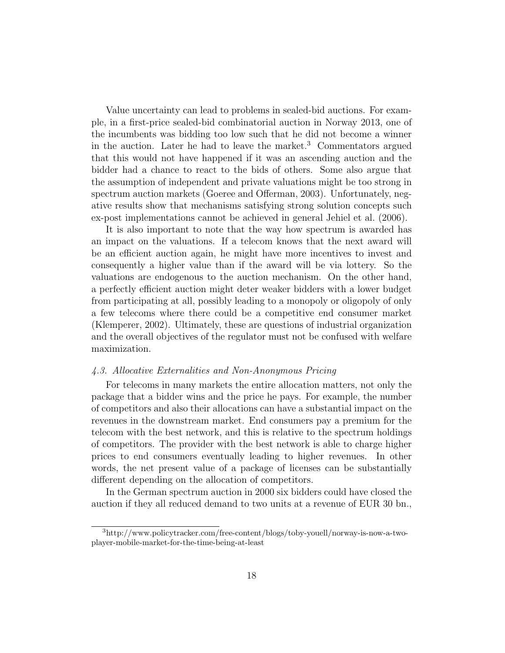Value uncertainty can lead to problems in sealed-bid auctions. For example, in a first-price sealed-bid combinatorial auction in Norway 2013, one of the incumbents was bidding too low such that he did not become a winner in the auction. Later he had to leave the market.<sup>3</sup> Commentators argued that this would not have happened if it was an ascending auction and the bidder had a chance to react to the bids of others. Some also argue that the assumption of independent and private valuations might be too strong in spectrum auction markets (Goeree and Offerman, 2003). Unfortunately, negative results show that mechanisms satisfying strong solution concepts such ex-post implementations cannot be achieved in general Jehiel et al. (2006).

It is also important to note that the way how spectrum is awarded has an impact on the valuations. If a telecom knows that the next award will be an efficient auction again, he might have more incentives to invest and consequently a higher value than if the award will be via lottery. So the valuations are endogenous to the auction mechanism. On the other hand, a perfectly efficient auction might deter weaker bidders with a lower budget from participating at all, possibly leading to a monopoly or oligopoly of only a few telecoms where there could be a competitive end consumer market (Klemperer, 2002). Ultimately, these are questions of industrial organization and the overall objectives of the regulator must not be confused with welfare maximization.

#### 4.3. Allocative Externalities and Non-Anonymous Pricing

For telecoms in many markets the entire allocation matters, not only the package that a bidder wins and the price he pays. For example, the number of competitors and also their allocations can have a substantial impact on the revenues in the downstream market. End consumers pay a premium for the telecom with the best network, and this is relative to the spectrum holdings of competitors. The provider with the best network is able to charge higher prices to end consumers eventually leading to higher revenues. In other words, the net present value of a package of licenses can be substantially different depending on the allocation of competitors.

In the German spectrum auction in 2000 six bidders could have closed the auction if they all reduced demand to two units at a revenue of EUR 30 bn.,

<sup>3</sup>http://www.policytracker.com/free-content/blogs/toby-youell/norway-is-now-a-twoplayer-mobile-market-for-the-time-being-at-least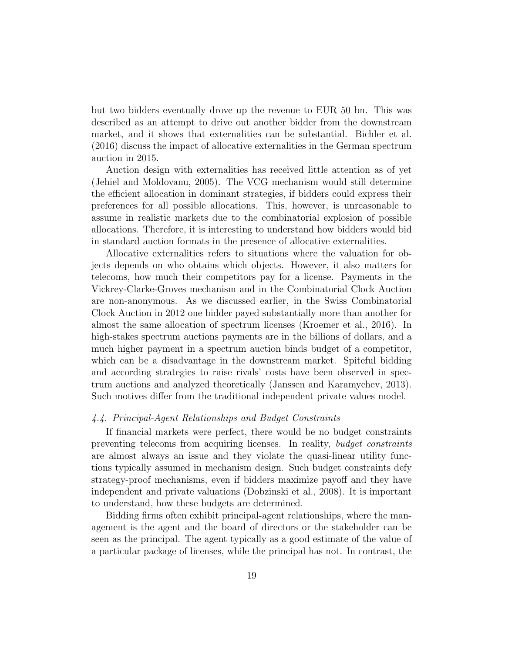but two bidders eventually drove up the revenue to EUR 50 bn. This was described as an attempt to drive out another bidder from the downstream market, and it shows that externalities can be substantial. Bichler et al. (2016) discuss the impact of allocative externalities in the German spectrum auction in 2015.

Auction design with externalities has received little attention as of yet (Jehiel and Moldovanu, 2005). The VCG mechanism would still determine the efficient allocation in dominant strategies, if bidders could express their preferences for all possible allocations. This, however, is unreasonable to assume in realistic markets due to the combinatorial explosion of possible allocations. Therefore, it is interesting to understand how bidders would bid in standard auction formats in the presence of allocative externalities.

Allocative externalities refers to situations where the valuation for objects depends on who obtains which objects. However, it also matters for telecoms, how much their competitors pay for a license. Payments in the Vickrey-Clarke-Groves mechanism and in the Combinatorial Clock Auction are non-anonymous. As we discussed earlier, in the Swiss Combinatorial Clock Auction in 2012 one bidder payed substantially more than another for almost the same allocation of spectrum licenses (Kroemer et al., 2016). In high-stakes spectrum auctions payments are in the billions of dollars, and a much higher payment in a spectrum auction binds budget of a competitor, which can be a disadvantage in the downstream market. Spiteful bidding and according strategies to raise rivals' costs have been observed in spectrum auctions and analyzed theoretically (Janssen and Karamychev, 2013). Such motives differ from the traditional independent private values model.

# 4.4. Principal-Agent Relationships and Budget Constraints

If financial markets were perfect, there would be no budget constraints preventing telecoms from acquiring licenses. In reality, budget constraints are almost always an issue and they violate the quasi-linear utility functions typically assumed in mechanism design. Such budget constraints defy strategy-proof mechanisms, even if bidders maximize payoff and they have independent and private valuations (Dobzinski et al., 2008). It is important to understand, how these budgets are determined.

Bidding firms often exhibit principal-agent relationships, where the management is the agent and the board of directors or the stakeholder can be seen as the principal. The agent typically as a good estimate of the value of a particular package of licenses, while the principal has not. In contrast, the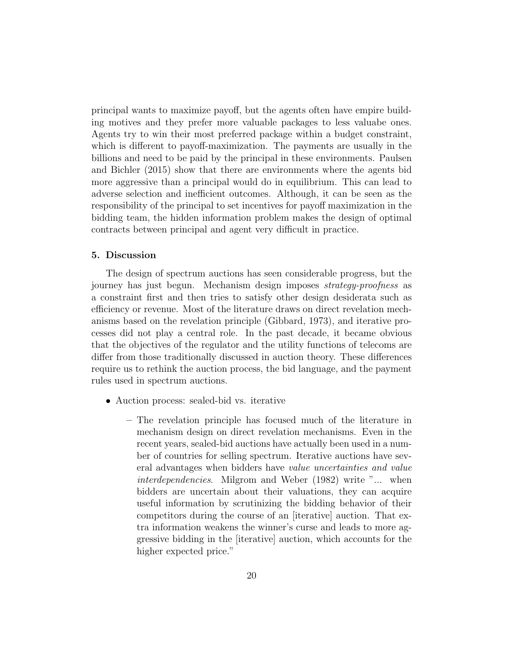principal wants to maximize payoff, but the agents often have empire building motives and they prefer more valuable packages to less valuabe ones. Agents try to win their most preferred package within a budget constraint, which is different to payoff-maximization. The payments are usually in the billions and need to be paid by the principal in these environments. Paulsen and Bichler (2015) show that there are environments where the agents bid more aggressive than a principal would do in equilibrium. This can lead to adverse selection and inefficient outcomes. Although, it can be seen as the responsibility of the principal to set incentives for payoff maximization in the bidding team, the hidden information problem makes the design of optimal contracts between principal and agent very difficult in practice.

#### 5. Discussion

The design of spectrum auctions has seen considerable progress, but the journey has just begun. Mechanism design imposes *strategy-proofness* as a constraint first and then tries to satisfy other design desiderata such as efficiency or revenue. Most of the literature draws on direct revelation mechanisms based on the revelation principle (Gibbard, 1973), and iterative processes did not play a central role. In the past decade, it became obvious that the objectives of the regulator and the utility functions of telecoms are differ from those traditionally discussed in auction theory. These differences require us to rethink the auction process, the bid language, and the payment rules used in spectrum auctions.

- Auction process: sealed-bid vs. iterative
	- The revelation principle has focused much of the literature in mechanism design on direct revelation mechanisms. Even in the recent years, sealed-bid auctions have actually been used in a number of countries for selling spectrum. Iterative auctions have several advantages when bidders have value uncertainties and value interdependencies. Milgrom and Weber (1982) write "... when bidders are uncertain about their valuations, they can acquire useful information by scrutinizing the bidding behavior of their competitors during the course of an [iterative] auction. That extra information weakens the winner's curse and leads to more aggressive bidding in the [iterative] auction, which accounts for the higher expected price."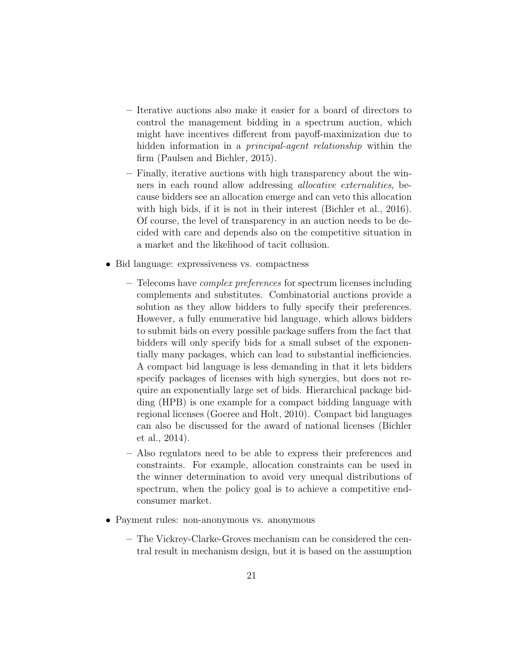- Iterative auctions also make it easier for a board of directors to control the management bidding in a spectrum auction, which might have incentives different from payoff-maximization due to hidden information in a *principal-agent relationship* within the firm (Paulsen and Bichler, 2015).
- Finally, iterative auctions with high transparency about the winners in each round allow addressing allocative externalities, because bidders see an allocation emerge and can veto this allocation with high bids, if it is not in their interest (Bichler et al., 2016). Of course, the level of transparency in an auction needs to be decided with care and depends also on the competitive situation in a market and the likelihood of tacit collusion.
- Bid language: expressiveness vs. compactness
	- Telecoms have *complex preferences* for spectrum licenses including complements and substitutes. Combinatorial auctions provide a solution as they allow bidders to fully specify their preferences. However, a fully enumerative bid language, which allows bidders to submit bids on every possible package suffers from the fact that bidders will only specify bids for a small subset of the exponentially many packages, which can lead to substantial inefficiencies. A compact bid language is less demanding in that it lets bidders specify packages of licenses with high synergies, but does not require an exponentially large set of bids. Hierarchical package bidding (HPB) is one example for a compact bidding language with regional licenses (Goeree and Holt, 2010). Compact bid languages can also be discussed for the award of national licenses (Bichler et al., 2014).
	- Also regulators need to be able to express their preferences and constraints. For example, allocation constraints can be used in the winner determination to avoid very unequal distributions of spectrum, when the policy goal is to achieve a competitive endconsumer market.
- Payment rules: non-anonymous vs. anonymous
	- The Vickrey-Clarke-Groves mechanism can be considered the central result in mechanism design, but it is based on the assumption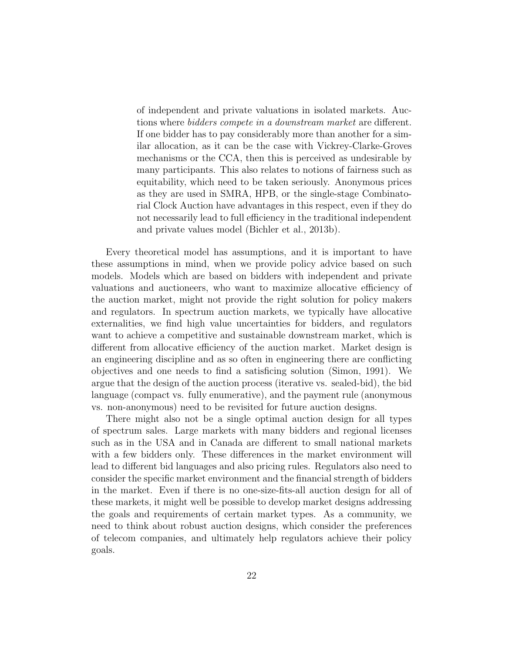of independent and private valuations in isolated markets. Auctions where bidders compete in a downstream market are different. If one bidder has to pay considerably more than another for a similar allocation, as it can be the case with Vickrey-Clarke-Groves mechanisms or the CCA, then this is perceived as undesirable by many participants. This also relates to notions of fairness such as equitability, which need to be taken seriously. Anonymous prices as they are used in SMRA, HPB, or the single-stage Combinatorial Clock Auction have advantages in this respect, even if they do not necessarily lead to full efficiency in the traditional independent and private values model (Bichler et al., 2013b).

Every theoretical model has assumptions, and it is important to have these assumptions in mind, when we provide policy advice based on such models. Models which are based on bidders with independent and private valuations and auctioneers, who want to maximize allocative efficiency of the auction market, might not provide the right solution for policy makers and regulators. In spectrum auction markets, we typically have allocative externalities, we find high value uncertainties for bidders, and regulators want to achieve a competitive and sustainable downstream market, which is different from allocative efficiency of the auction market. Market design is an engineering discipline and as so often in engineering there are conflicting objectives and one needs to find a satisficing solution (Simon, 1991). We argue that the design of the auction process (iterative vs. sealed-bid), the bid language (compact vs. fully enumerative), and the payment rule (anonymous vs. non-anonymous) need to be revisited for future auction designs.

There might also not be a single optimal auction design for all types of spectrum sales. Large markets with many bidders and regional licenses such as in the USA and in Canada are different to small national markets with a few bidders only. These differences in the market environment will lead to different bid languages and also pricing rules. Regulators also need to consider the specific market environment and the financial strength of bidders in the market. Even if there is no one-size-fits-all auction design for all of these markets, it might well be possible to develop market designs addressing the goals and requirements of certain market types. As a community, we need to think about robust auction designs, which consider the preferences of telecom companies, and ultimately help regulators achieve their policy goals.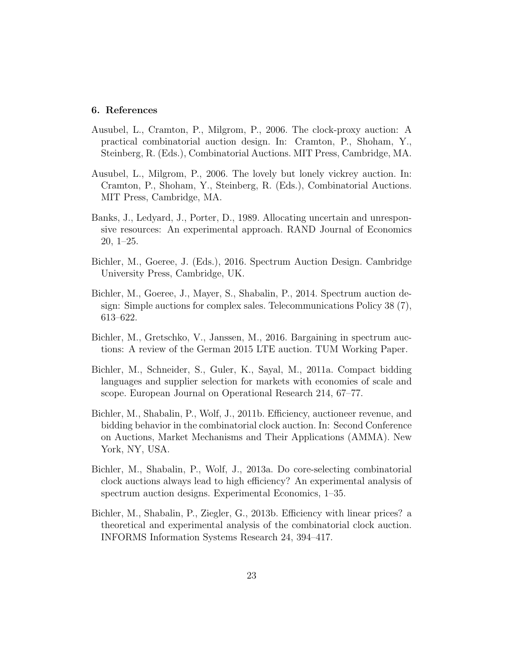#### 6. References

- Ausubel, L., Cramton, P., Milgrom, P., 2006. The clock-proxy auction: A practical combinatorial auction design. In: Cramton, P., Shoham, Y., Steinberg, R. (Eds.), Combinatorial Auctions. MIT Press, Cambridge, MA.
- Ausubel, L., Milgrom, P., 2006. The lovely but lonely vickrey auction. In: Cramton, P., Shoham, Y., Steinberg, R. (Eds.), Combinatorial Auctions. MIT Press, Cambridge, MA.
- Banks, J., Ledyard, J., Porter, D., 1989. Allocating uncertain and unresponsive resources: An experimental approach. RAND Journal of Economics 20, 1–25.
- Bichler, M., Goeree, J. (Eds.), 2016. Spectrum Auction Design. Cambridge University Press, Cambridge, UK.
- Bichler, M., Goeree, J., Mayer, S., Shabalin, P., 2014. Spectrum auction design: Simple auctions for complex sales. Telecommunications Policy 38 (7), 613–622.
- Bichler, M., Gretschko, V., Janssen, M., 2016. Bargaining in spectrum auctions: A review of the German 2015 LTE auction. TUM Working Paper.
- Bichler, M., Schneider, S., Guler, K., Sayal, M., 2011a. Compact bidding languages and supplier selection for markets with economies of scale and scope. European Journal on Operational Research 214, 67–77.
- Bichler, M., Shabalin, P., Wolf, J., 2011b. Efficiency, auctioneer revenue, and bidding behavior in the combinatorial clock auction. In: Second Conference on Auctions, Market Mechanisms and Their Applications (AMMA). New York, NY, USA.
- Bichler, M., Shabalin, P., Wolf, J., 2013a. Do core-selecting combinatorial clock auctions always lead to high efficiency? An experimental analysis of spectrum auction designs. Experimental Economics, 1–35.
- Bichler, M., Shabalin, P., Ziegler, G., 2013b. Efficiency with linear prices? a theoretical and experimental analysis of the combinatorial clock auction. INFORMS Information Systems Research 24, 394–417.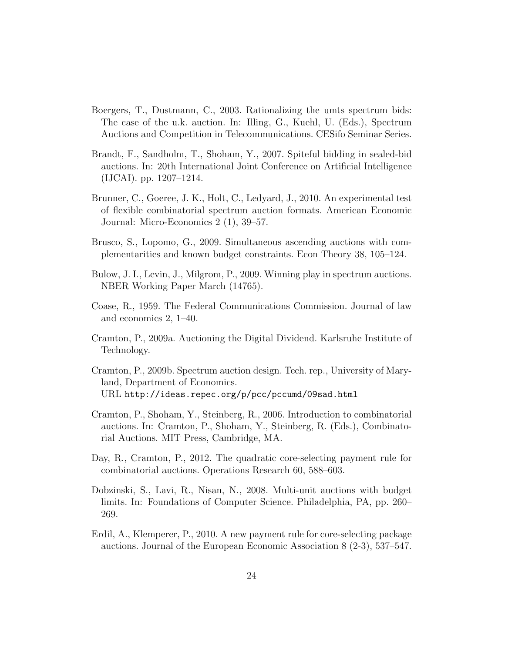- Boergers, T., Dustmann, C., 2003. Rationalizing the umts spectrum bids: The case of the u.k. auction. In: Illing, G., Kuehl, U. (Eds.), Spectrum Auctions and Competition in Telecommunications. CESifo Seminar Series.
- Brandt, F., Sandholm, T., Shoham, Y., 2007. Spiteful bidding in sealed-bid auctions. In: 20th International Joint Conference on Artificial Intelligence (IJCAI). pp. 1207–1214.
- Brunner, C., Goeree, J. K., Holt, C., Ledyard, J., 2010. An experimental test of flexible combinatorial spectrum auction formats. American Economic Journal: Micro-Economics 2 (1), 39–57.
- Brusco, S., Lopomo, G., 2009. Simultaneous ascending auctions with complementarities and known budget constraints. Econ Theory 38, 105–124.
- Bulow, J. I., Levin, J., Milgrom, P., 2009. Winning play in spectrum auctions. NBER Working Paper March (14765).
- Coase, R., 1959. The Federal Communications Commission. Journal of law and economics 2, 1–40.
- Cramton, P., 2009a. Auctioning the Digital Dividend. Karlsruhe Institute of Technology.
- Cramton, P., 2009b. Spectrum auction design. Tech. rep., University of Maryland, Department of Economics. URL http://ideas.repec.org/p/pcc/pccumd/09sad.html
- Cramton, P., Shoham, Y., Steinberg, R., 2006. Introduction to combinatorial auctions. In: Cramton, P., Shoham, Y., Steinberg, R. (Eds.), Combinatorial Auctions. MIT Press, Cambridge, MA.
- Day, R., Cramton, P., 2012. The quadratic core-selecting payment rule for combinatorial auctions. Operations Research 60, 588–603.
- Dobzinski, S., Lavi, R., Nisan, N., 2008. Multi-unit auctions with budget limits. In: Foundations of Computer Science. Philadelphia, PA, pp. 260– 269.
- Erdil, A., Klemperer, P., 2010. A new payment rule for core-selecting package auctions. Journal of the European Economic Association 8 (2-3), 537–547.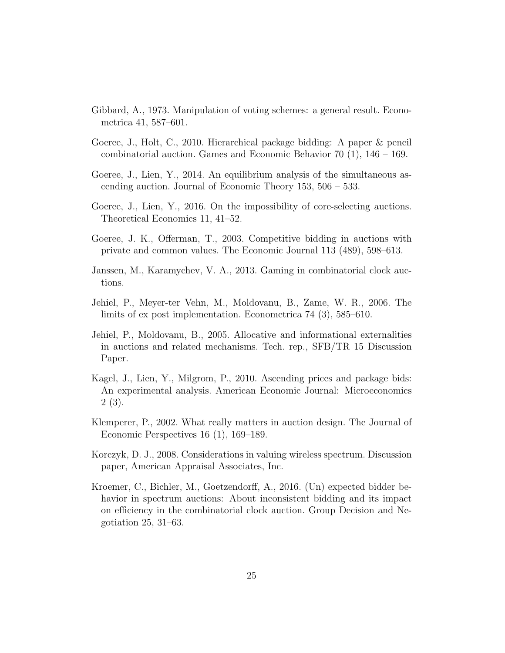- Gibbard, A., 1973. Manipulation of voting schemes: a general result. Econometrica 41, 587–601.
- Goeree, J., Holt, C., 2010. Hierarchical package bidding: A paper & pencil combinatorial auction. Games and Economic Behavior 70  $(1)$ , 146 – 169.
- Goeree, J., Lien, Y., 2014. An equilibrium analysis of the simultaneous ascending auction. Journal of Economic Theory 153, 506 – 533.
- Goeree, J., Lien, Y., 2016. On the impossibility of core-selecting auctions. Theoretical Economics 11, 41–52.
- Goeree, J. K., Offerman, T., 2003. Competitive bidding in auctions with private and common values. The Economic Journal 113 (489), 598–613.
- Janssen, M., Karamychev, V. A., 2013. Gaming in combinatorial clock auctions.
- Jehiel, P., Meyer-ter Vehn, M., Moldovanu, B., Zame, W. R., 2006. The limits of ex post implementation. Econometrica 74 (3), 585–610.
- Jehiel, P., Moldovanu, B., 2005. Allocative and informational externalities in auctions and related mechanisms. Tech. rep., SFB/TR 15 Discussion Paper.
- Kagel, J., Lien, Y., Milgrom, P., 2010. Ascending prices and package bids: An experimental analysis. American Economic Journal: Microeconomics 2 (3).
- Klemperer, P., 2002. What really matters in auction design. The Journal of Economic Perspectives 16 (1), 169–189.
- Korczyk, D. J., 2008. Considerations in valuing wireless spectrum. Discussion paper, American Appraisal Associates, Inc.
- Kroemer, C., Bichler, M., Goetzendorff, A., 2016. (Un) expected bidder behavior in spectrum auctions: About inconsistent bidding and its impact on efficiency in the combinatorial clock auction. Group Decision and Negotiation 25, 31–63.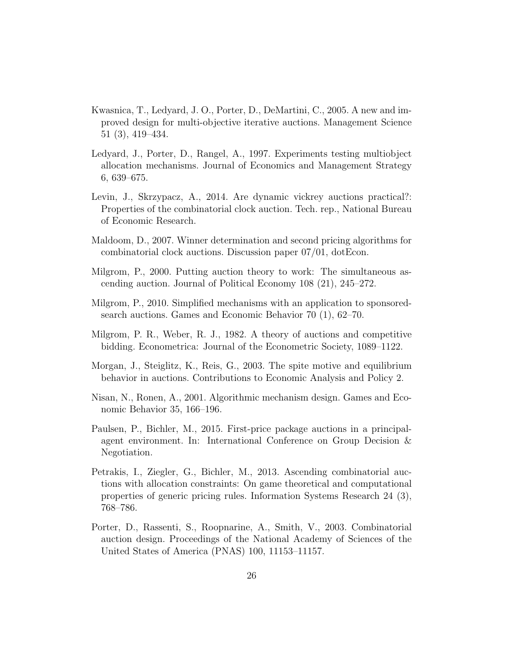- Kwasnica, T., Ledyard, J. O., Porter, D., DeMartini, C., 2005. A new and improved design for multi-objective iterative auctions. Management Science 51 (3), 419–434.
- Ledyard, J., Porter, D., Rangel, A., 1997. Experiments testing multiobject allocation mechanisms. Journal of Economics and Management Strategy 6, 639–675.
- Levin, J., Skrzypacz, A., 2014. Are dynamic vickrey auctions practical?: Properties of the combinatorial clock auction. Tech. rep., National Bureau of Economic Research.
- Maldoom, D., 2007. Winner determination and second pricing algorithms for combinatorial clock auctions. Discussion paper 07/01, dotEcon.
- Milgrom, P., 2000. Putting auction theory to work: The simultaneous ascending auction. Journal of Political Economy 108 (21), 245–272.
- Milgrom, P., 2010. Simplified mechanisms with an application to sponsoredsearch auctions. Games and Economic Behavior 70 (1), 62–70.
- Milgrom, P. R., Weber, R. J., 1982. A theory of auctions and competitive bidding. Econometrica: Journal of the Econometric Society, 1089–1122.
- Morgan, J., Steiglitz, K., Reis, G., 2003. The spite motive and equilibrium behavior in auctions. Contributions to Economic Analysis and Policy 2.
- Nisan, N., Ronen, A., 2001. Algorithmic mechanism design. Games and Economic Behavior 35, 166–196.
- Paulsen, P., Bichler, M., 2015. First-price package auctions in a principalagent environment. In: International Conference on Group Decision & Negotiation.
- Petrakis, I., Ziegler, G., Bichler, M., 2013. Ascending combinatorial auctions with allocation constraints: On game theoretical and computational properties of generic pricing rules. Information Systems Research 24 (3), 768–786.
- Porter, D., Rassenti, S., Roopnarine, A., Smith, V., 2003. Combinatorial auction design. Proceedings of the National Academy of Sciences of the United States of America (PNAS) 100, 11153–11157.